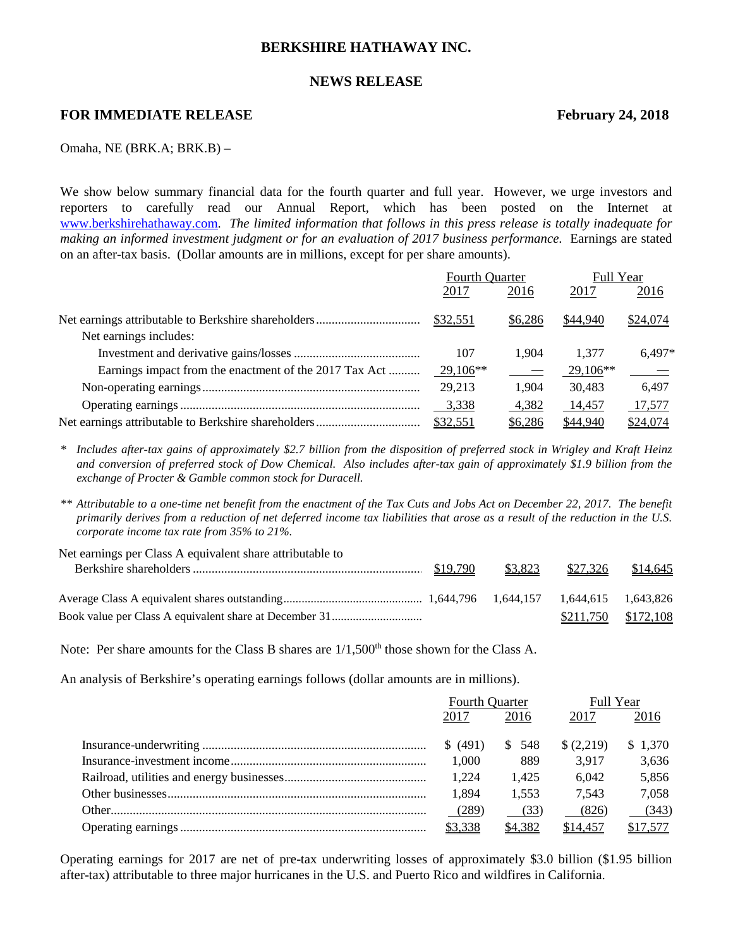#### **BERKSHIRE HATHAWAY INC.**

## **NEWS RELEASE**

## **FOR IMMEDIATE RELEASE February 24, 2018**

Omaha, NE (BRK.A; BRK.B) –

We show below summary financial data for the fourth quarter and full year. However, we urge investors and reporters to carefully read our Annual Report, which has been posted on the Internet at [www.berkshirehathaway.com.](http://www.berkshirehathaway.com/) *The limited information that follows in this press release is totally inadequate for making an informed investment judgment or for an evaluation of 2017 business performance.* Earnings are stated on an after-tax basis. (Dollar amounts are in millions, except for per share amounts).

|                                                        | <b>Fourth Ouarter</b> |               | Full Year |            |
|--------------------------------------------------------|-----------------------|---------------|-----------|------------|
|                                                        | 2017                  | 2016          | 2017      | 2016       |
|                                                        | \$32,551              | \$6,286       | \$44,940  | \$24,074   |
| Net earnings includes:                                 |                       |               |           |            |
|                                                        | 107                   | 1.904         | 1.377     | $6.497*$   |
| Earnings impact from the enactment of the 2017 Tax Act | 29,106**              | $\sim$ $\sim$ | 29,106**  | $\sim$ $-$ |
|                                                        | 29,213                | 1,904         | 30,483    | 6.497      |
|                                                        | 3,338                 | 4,382         | 14,457    | 17,577     |
|                                                        | \$32,551              | \$6,286       | \$44,940  | \$24,074   |

*\* Includes after-tax gains of approximately \$2.7 billion from the disposition of preferred stock in Wrigley and Kraft Heinz and conversion of preferred stock of Dow Chemical. Also includes after-tax gain of approximately \$1.9 billion from the exchange of Procter & Gamble common stock for Duracell.*

*\*\* Attributable to a one-time net benefit from the enactment of the Tax Cuts and Jobs Act on December 22, 2017. The benefit primarily derives from a reduction of net deferred income tax liabilities that arose as a result of the reduction in the U.S. corporate income tax rate from 35% to 21%.*

| Net earnings per Class A equivalent share attributable to |         |                       |          |
|-----------------------------------------------------------|---------|-----------------------|----------|
|                                                           | \$3,823 | \$27,326              | \$14,645 |
|                                                           |         |                       |          |
|                                                           |         |                       |          |
|                                                           |         | $$211,750$ $$172,108$ |          |

Note: Per share amounts for the Class B shares are  $1/1,500<sup>th</sup>$  those shown for the Class A.

An analysis of Berkshire's operating earnings follows (dollar amounts are in millions).

| <b>Fourth Quarter</b> |         | Full Year |          |
|-----------------------|---------|-----------|----------|
| 2017                  | 2016    | 2017      | 2016     |
| \$ (491)              | \$ 548  | \$(2,219) | \$1,370  |
| 1,000                 | 889     | 3.917     | 3,636    |
| 1,224                 | 1.425   | 6.042     | 5,856    |
| 1,894                 | 1,553   | 7.543     | 7,058    |
| (289)                 | (33)    | (826)     | (343)    |
| \$3,338               | \$4,382 | \$14,457  | \$17,577 |

Operating earnings for 2017 are net of pre-tax underwriting losses of approximately \$3.0 billion (\$1.95 billion after-tax) attributable to three major hurricanes in the U.S. and Puerto Rico and wildfires in California.